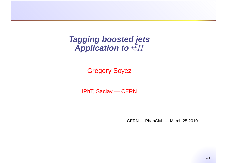#### **Tagging boosted jets**Application to  $t\bar{t}H$

Grégory Soyez

IPhT, Saclay — CERN

CERN — PhenClub — March 25 2010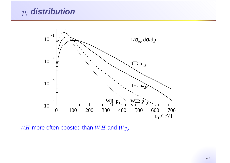### $p_t$  **distribution**



 $ttH$  more often boosted than  $WH$  and  $Wjj$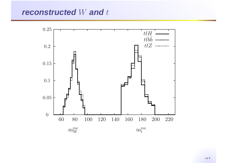# **reconstructed** <sup>W</sup> **and** <sup>t</sup>



– p. 3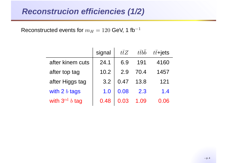#### **Reconstrucion efficiencies (1/2)**

Reconstructed events for  $m_H$  $_H = 120$  GeV, 1 fb $^{-1}$ 

|                     | signal | ttZ  | ttbb | $t\bar{t}$ +jets |
|---------------------|--------|------|------|------------------|
| after kinem cuts    | 24.1   | 6.9  | 191  | 4160             |
| after top tag       | 10.2   | 29   | 70.4 | 1457             |
| after Higgs tag     | 3.2    | 0.47 | 13.8 | 121              |
| with 2 $b$ tags     | 1.0    | 0.08 | 2.3  | 1.4              |
| with $3^{rd}$ b tag | 0.48   | 0.03 | 1.09 | 0.06             |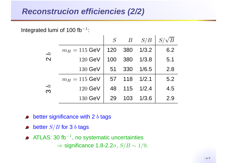#### **Reconstrucion efficiencies (2/2)**

Integrated lumi of 100 fb $^{\rm -1}$ :

|                                           |                 | S   | $\overline{B}$ | S/B   |     |
|-------------------------------------------|-----------------|-----|----------------|-------|-----|
| $\boldsymbol{\beta}$<br>$\mathbf{\Omega}$ | $m_H = 115$ GeV | 120 | 380            | 1/3.2 | 6.2 |
|                                           | $120$ GeV       | 100 | 380            | 1/3.8 | 5.1 |
|                                           | 130 GeV         | 51  | 330            | 1/6.5 | 2.8 |
| $\mathcal{L}$<br>$\infty$                 | $m_H = 115$ GeV | 57  | 118            | 1/2.1 | 5.2 |
|                                           | $120$ GeV       | 48  | 115            | 1/2.4 | 4.5 |
|                                           | 130 GeV         | 29  | 103            | 1/3.6 | 2.9 |

- better significance with 2  $b$  tags  $\bullet$
- better  $S/B$  for 3  $b$  tags
- ATLAS: 30 fb $^{\rm -1}$ , no systematic uncertainties  $\Rightarrow$  significance 1.8-2.2 $\sigma$ ,  $S/B \sim 1/9$ .